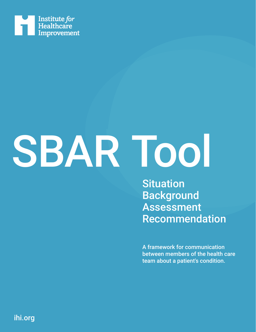

## SBAR Tool

**Situation Background Assessment** Recommendation

A framework for communication between members of the health care team about a patient's condition.

ihi.org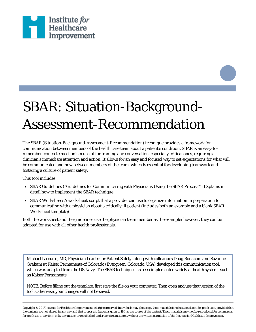

## SBAR: Situation-Background-Assessment-Recommendation

The SBAR (Situation-Background-Assessment-Recommendation) technique provides a framework for communication between members of the health care team about a patient's condition. SBAR is an easy-toremember, concrete mechanism useful for framing any conversation, especially critical ones, requiring a clinician's immediate attention and action. It allows for an easy and focused way to set expectations for what will be communicated and how between members of the team, which is essential for developing teamwork and fostering a culture of patient safety.

This tool includes:

- SBAR Guidelines ("Guidelines for Communicating with Physicians Using the SBAR Process"): Explains in detail how to implement the SBAR technique
- SBAR Worksheet: A worksheet/script that a provider can use to organize information in preparation for communicating with a physician about a critically ill patient (includes both an example and a blank SBAR Worksheet template)

Both the worksheet and the guidelines use the physician team member as the example; however, they can be adapted for use with all other health professionals.

*Michael Leonard, MD, Physician Leader for Patient Safety, along with colleagues Doug Bonacum and Suzanne Graham at Kaiser Permanente of Colorado (Evergreen, Colorado, USA) developed this communication tool, which was adapted from the US Navy. The SBAR technique has been implemented widely at health systems such as Kaiser Permanente.*

NOTE: Before filling out the template, first save the file on your computer. Then open and use that version of the tool. Otherwise, your changes will not be saved.

Copyright © 2017 Institute for Healthcare Improvement. All rights reserved. Individuals may photocopy these materials for educational, not-for-profit uses, provided that the contents are not altered in any way and that proper attribution is given to IHI as the source of the content. These materials may not be reproduced for commercial, for-profit use in any form or by any means, or republished under any circumstances, without the written permission of the Institute for Healthcare Improvement.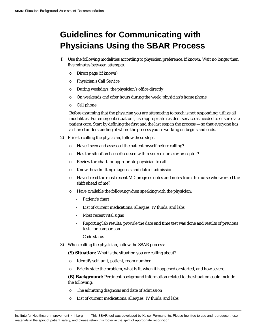## **Guidelines for Communicating with Physicians Using the SBAR Process**

- 1) Use the following modalities according to physician preference, if known. Wait no longer than five minutes between attempts.
	- o Direct page (if known)
	- o Physician's Call Service
	- o During weekdays, the physician's office directly
	- o On weekends and after hours during the week, physician's home phone
	- o Cell phone

Before assuming that the physician you are attempting to reach is not responding, utilize all modalities. For emergent situations, use appropriate resident service as needed to ensure safe patient care. Start by defining the first and the last step in the process — so that everyone has a shared understanding of where the process you're working on begins and ends.

- 2) Prior to calling the physician, follow these steps:
	- o Have I seen and assessed the patient myself before calling?
	- o Has the situation been discussed with resource nurse or preceptor?
	- o Review the chart for appropriate physician to call.
	- o Know the admitting diagnosis and date of admission.
	- o Have I read the most recent MD progress notes and notes from the nurse who worked the shift ahead of me?
	- o Have available the following when speaking with the physician:
		- Patient's chart
		- List of current medications, allergies, IV fluids, and labs
		- Most recent vital signs
		- Reporting lab results: provide the date and time test was done and results of previous tests for comparison
		- Code status
- 3) When calling the physician, follow the SBAR process:
	- **(S) Situation:** What is the situation you are calling about?
	- o Identify self, unit, patient, room number.
	- o Briefly state the problem, what is it, when it happened or started, and how severe.

**(B) Background:** Pertinent background information related to the situation could include the following:

- o The admitting diagnosis and date of admission
- o List of current medications, allergies, IV fluids, and labs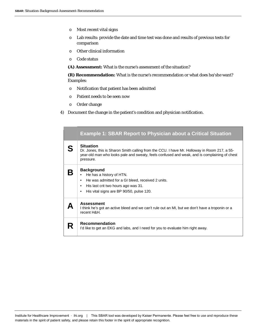- o Most recent vital signs
- o Lab results: provide the date and time test was done and results of previous tests for comparison
- o Other clinical information
- o Code status

**(A) Assessment:** What is the nurse's assessment of the situation?

**(R) Recommendation:** What is the nurse's recommendation or what does he/she want? Examples:

- o Notification that patient has been admitted
- o Patient needs to be seen now
- o Order change
- 4) Document the change in the patient's condition and physician notification.

|   | <b>Example 1: SBAR Report to Physician about a Critical Situation</b>                                                                                                                                                         |  |
|---|-------------------------------------------------------------------------------------------------------------------------------------------------------------------------------------------------------------------------------|--|
|   | <b>Situation</b><br>Dr. Jones, this is Sharon Smith calling from the CCU. I have Mr. Holloway in Room 217, a 55-<br>year-old man who looks pale and sweaty, feels confused and weak, and is complaining of chest<br>pressure. |  |
|   | <b>Background</b><br>He has a history of HTN.<br>He was admitted for a GI bleed, received 2 units.<br>$\bullet$<br>His last crit two hours ago was 31.<br>$\bullet$<br>His vital signs are BP 90/50, pulse 120.<br>٠          |  |
|   | <b>Assessment</b><br>I think he's got an active bleed and we can't rule out an MI, but we don't have a troponin or a<br>recent H&H.                                                                                           |  |
| R | <b>Recommendation</b><br>I'd like to get an EKG and labs, and I need for you to evaluate him right away.                                                                                                                      |  |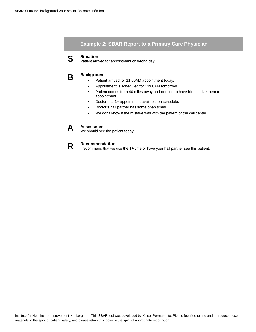|   | <b>Example 2: SBAR Report to a Primary Care Physician</b><br><b>Situation</b><br>Patient arrived for appointment on wrong day. |  |  |
|---|--------------------------------------------------------------------------------------------------------------------------------|--|--|
| S |                                                                                                                                |  |  |
|   | <b>Background</b>                                                                                                              |  |  |
|   | Patient arrived for 11:00AM appointment today.<br>٠                                                                            |  |  |
|   | Appointment is scheduled for 11:00AM tomorrow.                                                                                 |  |  |
|   | Patient comes from 40 miles away and needed to have friend drive them to<br>٠<br>appointment.                                  |  |  |
|   | Doctor has 1+ appointment available on schedule.<br>٠                                                                          |  |  |
|   | Doctor's hall partner has some open times.                                                                                     |  |  |
|   | We don't know if the mistake was with the patient or the call center.<br>٠                                                     |  |  |
|   | <b>Assessment</b><br>We should see the patient today.                                                                          |  |  |
| R | <b>Recommendation</b><br>I recommend that we use the 1+ time or have your hall partner see this patient.                       |  |  |